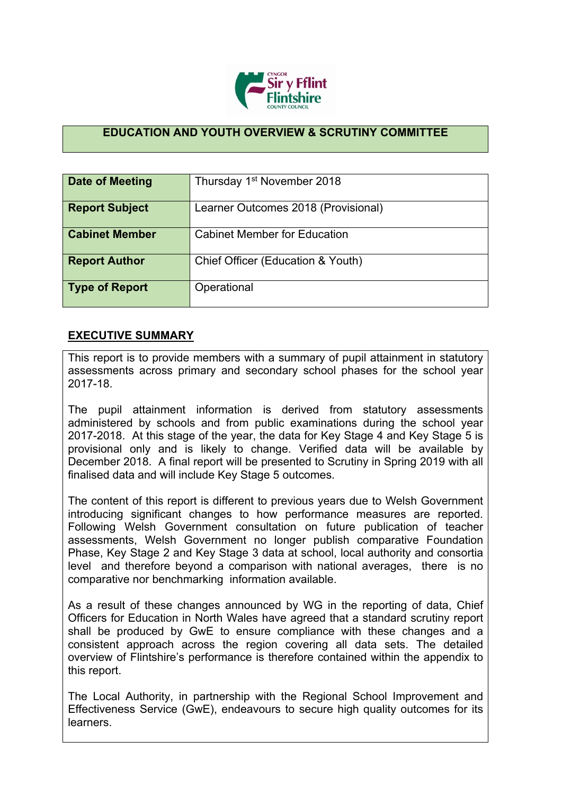

## **EDUCATION AND YOUTH OVERVIEW & SCRUTINY COMMITTEE**

| Date of Meeting       | Thursday 1 <sup>st</sup> November 2018 |
|-----------------------|----------------------------------------|
| <b>Report Subject</b> | Learner Outcomes 2018 (Provisional)    |
| <b>Cabinet Member</b> | <b>Cabinet Member for Education</b>    |
| <b>Report Author</b>  | Chief Officer (Education & Youth)      |
| <b>Type of Report</b> | Operational                            |

## **EXECUTIVE SUMMARY**

This report is to provide members with a summary of pupil attainment in statutory assessments across primary and secondary school phases for the school year 2017-18.

The pupil attainment information is derived from statutory assessments administered by schools and from public examinations during the school year 2017-2018. At this stage of the year, the data for Key Stage 4 and Key Stage 5 is provisional only and is likely to change. Verified data will be available by December 2018. A final report will be presented to Scrutiny in Spring 2019 with all finalised data and will include Key Stage 5 outcomes.

The content of this report is different to previous years due to Welsh Government introducing significant changes to how performance measures are reported. Following Welsh Government consultation on future publication of teacher assessments, Welsh Government no longer publish comparative Foundation Phase, Key Stage 2 and Key Stage 3 data at school, local authority and consortia level and therefore beyond a comparison with national averages, there is no comparative nor benchmarking information available.

As a result of these changes announced by WG in the reporting of data, Chief Officers for Education in North Wales have agreed that a standard scrutiny report shall be produced by GwE to ensure compliance with these changes and a consistent approach across the region covering all data sets. The detailed overview of Flintshire's performance is therefore contained within the appendix to this report.

The Local Authority, in partnership with the Regional School Improvement and Effectiveness Service (GwE), endeavours to secure high quality outcomes for its learners.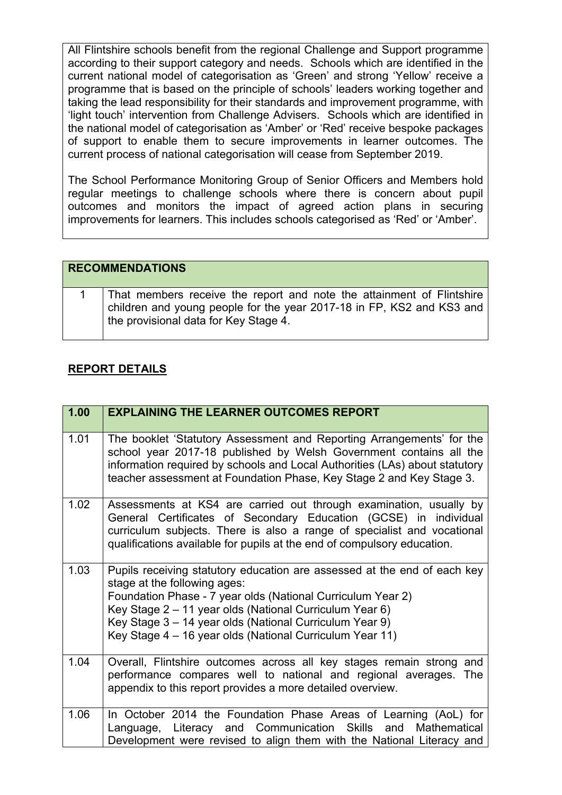All Flintshire schools benefit from the regional Challenge and Support programme according to their support category and needs. Schools which are identified in the current national model of categorisation as 'Green' and strong 'Yellow' receive a programme that is based on the principle of schools' leaders working together and taking the lead responsibility for their standards and improvement programme, with 'light touch' intervention from Challenge Advisers. Schools which are identified in the national model of categorisation as 'Amber' or 'Red' receive bespoke packages of support to enable them to secure improvements in learner outcomes. The current process of national categorisation will cease from September 2019.

The School Performance Monitoring Group of Senior Officers and Members hold regular meetings to challenge schools where there is concern about pupil outcomes and monitors the impact of agreed action plans in securing improvements for learners. This includes schools categorised as 'Red' or 'Amber'.

| <b>RECOMMENDATIONS</b>                                                  |
|-------------------------------------------------------------------------|
| 1 That members receive the report and note the attainment of Flintshire |
| children and young people for the year 2017-18 in FP, KS2 and KS3 and   |
| the provisional data for Key Stage 4.                                   |

## **REPORT DETAILS**

| 1.00 | <b>EXPLAINING THE LEARNER OUTCOMES REPORT</b>                                                                                                                                                                                                                                                                                                             |
|------|-----------------------------------------------------------------------------------------------------------------------------------------------------------------------------------------------------------------------------------------------------------------------------------------------------------------------------------------------------------|
| 1.01 | The booklet 'Statutory Assessment and Reporting Arrangements' for the<br>school year 2017-18 published by Welsh Government contains all the<br>information required by schools and Local Authorities (LAs) about statutory<br>teacher assessment at Foundation Phase, Key Stage 2 and Key Stage 3.                                                        |
| 1.02 | Assessments at KS4 are carried out through examination, usually by<br>General Certificates of Secondary Education (GCSE) in individual<br>curriculum subjects. There is also a range of specialist and vocational<br>qualifications available for pupils at the end of compulsory education.                                                              |
| 1.03 | Pupils receiving statutory education are assessed at the end of each key<br>stage at the following ages:<br>Foundation Phase - 7 year olds (National Curriculum Year 2)<br>Key Stage 2 - 11 year olds (National Curriculum Year 6)<br>Key Stage 3 - 14 year olds (National Curriculum Year 9)<br>Key Stage 4 – 16 year olds (National Curriculum Year 11) |
| 1.04 | Overall, Flintshire outcomes across all key stages remain strong and<br>performance compares well to national and regional averages. The<br>appendix to this report provides a more detailed overview.                                                                                                                                                    |
| 1.06 | In October 2014 the Foundation Phase Areas of Learning (AoL) for<br>Language, Literacy and Communication Skills and Mathematical<br>Development were revised to align them with the National Literacy and                                                                                                                                                 |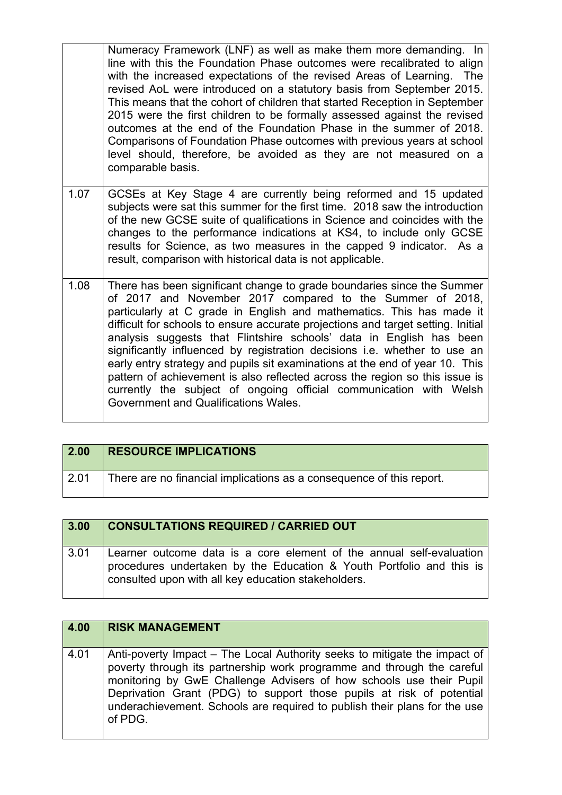Numeracy Framework (LNF) as well as make them more demanding. In line with this the Foundation Phase outcomes were recalibrated to align with the increased expectations of the revised Areas of Learning. The revised AoL were introduced on a statutory basis from September 2015. This means that the cohort of children that started Reception in September 2015 were the first children to be formally assessed against the revised outcomes at the end of the Foundation Phase in the summer of 2018. Comparisons of Foundation Phase outcomes with previous years at school level should, therefore, be avoided as they are not measured on a comparable basis.

- 1.07 GCSEs at Key Stage 4 are currently being reformed and 15 updated subjects were sat this summer for the first time. 2018 saw the introduction of the new GCSE suite of qualifications in Science and coincides with the changes to the performance indications at KS4, to include only GCSE results for Science, as two measures in the capped 9 indicator. As a result, comparison with historical data is not applicable.
- 1.08 There has been significant change to grade boundaries since the Summer of 2017 and November 2017 compared to the Summer of 2018, particularly at C grade in English and mathematics. This has made it difficult for schools to ensure accurate projections and target setting. Initial analysis suggests that Flintshire schools' data in English has been significantly influenced by registration decisions i.e. whether to use an early entry strategy and pupils sit examinations at the end of year 10. This pattern of achievement is also reflected across the region so this issue is currently the subject of ongoing official communication with Welsh Government and Qualifications Wales.

| 2.00 | <b>RESOURCE IMPLICATIONS</b>                                         |
|------|----------------------------------------------------------------------|
| 2.01 | There are no financial implications as a consequence of this report. |

| 3.00 | <b>CONSULTATIONS REQUIRED / CARRIED OUT</b>                                                                                                                                                         |
|------|-----------------------------------------------------------------------------------------------------------------------------------------------------------------------------------------------------|
| 3.01 | Learner outcome data is a core element of the annual self-evaluation<br>procedures undertaken by the Education & Youth Portfolio and this is<br>consulted upon with all key education stakeholders. |

| 4.00 | <b>RISK MANAGEMENT</b>                                                                                                                                                                                                                                                                                                                                                                     |
|------|--------------------------------------------------------------------------------------------------------------------------------------------------------------------------------------------------------------------------------------------------------------------------------------------------------------------------------------------------------------------------------------------|
| 4.01 | Anti-poverty Impact – The Local Authority seeks to mitigate the impact of<br>poverty through its partnership work programme and through the careful<br>monitoring by GwE Challenge Advisers of how schools use their Pupil<br>Deprivation Grant (PDG) to support those pupils at risk of potential<br>underachievement. Schools are required to publish their plans for the use<br>of PDG. |